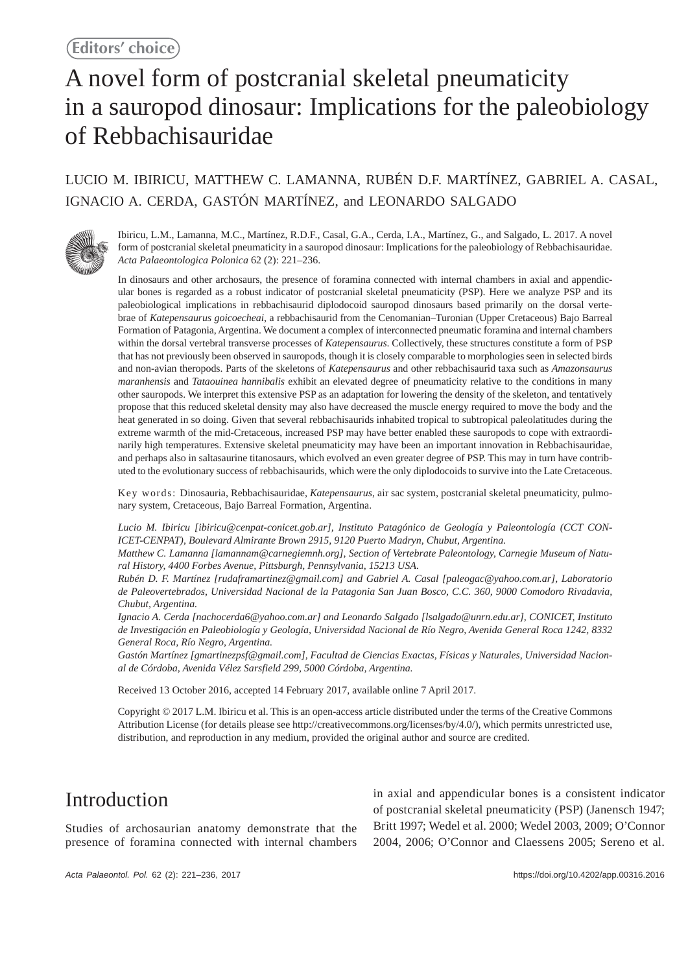# A novel form of postcranial skeletal pneumaticity in a sauropod dinosaur: Implications for the paleobiology of Rebbachisauridae

#### LUCIO M. IBIRICU, MATTHEW C. LAMANNA, RUBÉN D.F. MARTÍNEZ, GABRIEL A. CASAL, IGNACIO A. CERDA, GASTÓN MARTÍNEZ, and LEONARDO SALGADO



Ibiricu, L.M., Lamanna, M.C., Martí nez, R.D.F., Casal, G.A., Cerda, I.A., Martí nez, G., and Salgado, L. 2017. A novel form of postcranial skeletal pneumaticity in a sauropod dinosaur: Implications for the paleobiology of Rebbachisauridae. *Acta Palaeontologica Polonica* 62 (2): 221–236.

In dinosaurs and other archosaurs, the presence of foramina connected with internal chambers in axial and appendicular bones is regarded as a robust indicator of postcranial skeletal pneumaticity (PSP). Here we analyze PSP and its paleobiological implications in rebbachisaurid diplodocoid sauropod dinosaurs based primarily on the dorsal vertebrae of *Katepensaurus goicoecheai*, a rebbachisaurid from the Cenomanian–Turonian (Upper Cretaceous) Bajo Barreal Formation of Patagonia, Argentina. We document a complex of interconnected pneumatic foramina and internal chambers within the dorsal vertebral transverse processes of *Katepensaurus*. Collectively, these structures constitute a form of PSP that has not previously been observed in sauropods, though it is closely comparable to morphologies seen in selected birds and non-avian theropods. Parts of the skeletons of *Katepensaurus* and other rebbachisaurid taxa such as *Amazonsaurus maranhensis* and *Tataouinea hannibalis* exhibit an elevated degree of pneumaticity relative to the conditions in many other sauropods. We interpret this extensive PSP as an adaptation for lowering the density of the skeleton, and tentatively propose that this reduced skeletal density may also have decreased the muscle energy required to move the body and the heat generated in so doing. Given that several rebbachisaurids inhabited tropical to subtropical paleolatitudes during the extreme warmth of the mid-Cretaceous, increased PSP may have better enabled these sauropods to cope with extraordinarily high temperatures. Extensive skeletal pneumaticity may have been an important innovation in Rebbachisauridae, and perhaps also in saltasaurine titanosaurs, which evolved an even greater degree of PSP. This may in turn have contributed to the evolutionary success of rebbachisaurids, which were the only diplodocoids to survive into the Late Cretaceous.

Key words: Dinosauria, Rebbachisauridae, *Katepensaurus*, air sac system, postcranial skeletal pneumaticity, pulmonary system, Cretaceous, Bajo Barreal Formation, Argentina.

*Lucio M. Ibiricu [ibiricu@cenpat-conicet.gob.ar], Instituto Patagónico de Geología y Paleontología (CCT CON-ICET-CENPAT), Boulevard Almirante Brown 2915, 9120 Puerto Madryn, Chubut, Argentina.*

*Matthew C. Lamanna [lamannam@carnegiemnh.org], Section of Vertebrate Paleontology, Carnegie Museum of Natural History, 4400 Forbes Avenue, Pittsburgh, Pennsylvania, 15213 USA.*

*Rubé n D. F. Martí nez [rudaframartinez@gmail.com] and Gabriel A. Casal [paleogac@yahoo.com.ar], Laboratorio de Paleovertebrados, Universidad Nacional de la Patagonia San Juan Bosco, C.C. 360, 9000 Comodoro Rivadavia, Chubut, Argentina.*

*Ignacio A. Cerda [nachocerda6@yahoo.com.ar] and Leonardo Salgado [lsalgado@unrn.edu.ar], CONICET, Instituto de Investigación en Paleobiología y Geología, Universidad Nacional de Río Negro, Avenida General Roca 1242, 8332 General Roca, Río Negro, Argentina.*

Gastón Martínez [gmartinezpsf@gmail.com], Facultad de Ciencias Exactas, Físicas y Naturales, Universidad Nacion*al de Córdoba, Avenida Vélez Sarsfield 299, 5000 Córdoba, Argentina.*

Received 13 October 2016, accepted 14 February 2017, available online 7 April 2017.

Copyright © 2017 L.M. Ibiricu et al. This is an open-access article distributed under the terms of the Creative Commons Attribution License (for details please see http://creativecommons.org/licenses/by/4.0/), which permits unrestricted use, distribution, and reproduction in any medium, provided the original author and source are credited.

# Introduction

Studies of archosaurian anatomy demonstrate that the presence of foramina connected with internal chambers in axial and appendicular bones is a consistent indicator of postcranial skeletal pneumaticity (PSP) (Janensch 1947; Britt 1997; Wedel et al. 2000; Wedel 2003, 2009; O'Connor 2004, 2006; O'Connor and Claessens 2005; Sereno et al.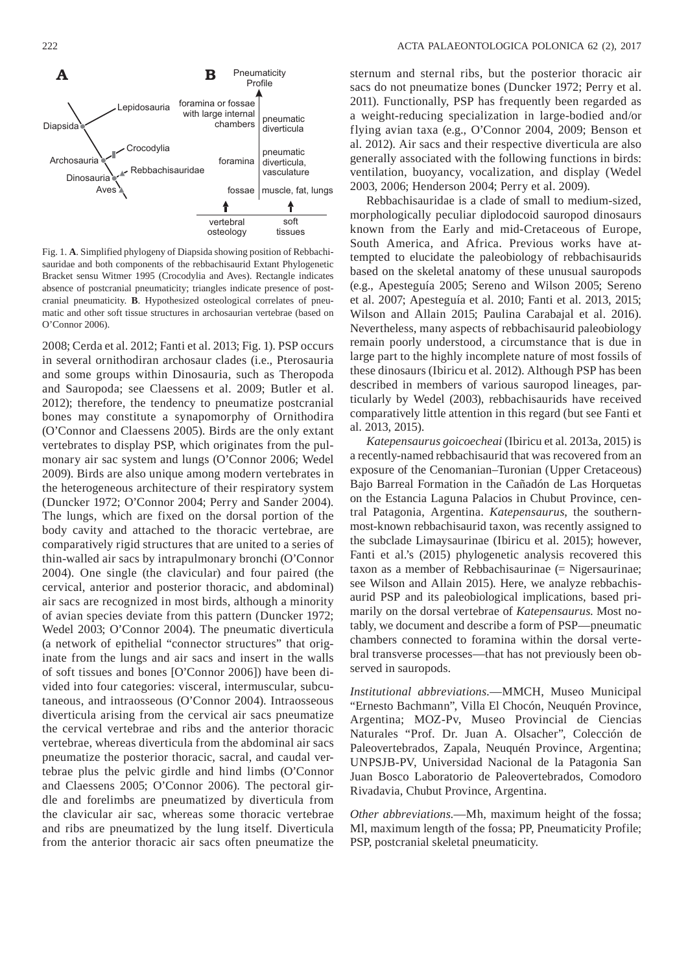

Fig. 1. **A**. Simplified phylogeny of Diapsida showing position of Rebbachisauridae and both components of the rebbachisaurid Extant Phylogenetic Bracket sensu Witmer 1995 (Crocodylia and Aves). Rectangle indicates absence of postcranial pneumaticity; triangles indicate presence of postcranial pneumaticity. **B**. Hypothesized osteological correlates of pneumatic and other soft tissue structures in archosaurian vertebrae (based on O'Connor 2006).

2008; Cerda et al. 2012; Fanti et al. 2013; Fig. 1). PSP occurs in several ornithodiran archosaur clades (i.e., Pterosauria and some groups within Dinosauria, such as Theropoda and Sauropoda; see Claessens et al. 2009; Butler et al. 2012); therefore, the tendency to pneumatize postcranial bones may constitute a synapomorphy of Ornithodira (O'Connor and Claessens 2005). Birds are the only extant vertebrates to display PSP, which originates from the pulmonary air sac system and lungs (O'Connor 2006; Wedel 2009). Birds are also unique among modern vertebrates in the heterogeneous architecture of their respiratory system (Duncker 1972; O'Connor 2004; Perry and Sander 2004). The lungs, which are fixed on the dorsal portion of the body cavity and attached to the thoracic vertebrae, are comparatively rigid structures that are united to a series of thin-walled air sacs by intrapulmonary bronchi (O'Connor 2004). One single (the clavicular) and four paired (the cervical, anterior and posterior thoracic, and abdominal) air sacs are recognized in most birds, although a minority of avian species deviate from this pattern (Duncker 1972; Wedel 2003; O'Connor 2004). The pneumatic diverticula (a network of epithelial "connector structures" that originate from the lungs and air sacs and insert in the walls of soft tissues and bones [O'Connor 2006]) have been divided into four categories: visceral, intermuscular, subcutaneous, and intraosseous (O'Connor 2004). Intraosseous diverticula arising from the cervical air sacs pneumatize the cervical vertebrae and ribs and the anterior thoracic vertebrae, whereas diverticula from the abdominal air sacs pneumatize the posterior thoracic, sacral, and caudal vertebrae plus the pelvic girdle and hind limbs (O'Connor and Claessens 2005; O'Connor 2006). The pectoral girdle and forelimbs are pneumatized by diverticula from the clavicular air sac, whereas some thoracic vertebrae and ribs are pneumatized by the lung itself. Diverticula from the anterior thoracic air sacs often pneumatize the

sternum and sternal ribs, but the posterior thoracic air sacs do not pneumatize bones (Duncker 1972; Perry et al. 2011). Functionally, PSP has frequently been regarded as a weight-reducing specialization in large-bodied and/or flying avian taxa (e.g., O'Connor 2004, 2009; Benson et al. 2012). Air sacs and their respective diverticula are also generally associated with the following functions in birds: ventilation, buoyancy, vocalization, and display (Wedel 2003, 2006; Henderson 2004; Perry et al. 2009).

Rebbachisauridae is a clade of small to medium-sized, morphologically peculiar diplodocoid sauropod dinosaurs known from the Early and mid-Cretaceous of Europe, South America, and Africa. Previous works have attempted to elucidate the paleobiology of rebbachisaurids based on the skeletal anatomy of these unusual sauropods (e.g., Apesteguía 2005; Sereno and Wilson 2005; Sereno et al. 2007; Apesteguía et al. 2010; Fanti et al. 2013, 2015; Wilson and Allain 2015; Paulina Carabajal et al. 2016). Nevertheless, many aspects of rebbachisaurid paleobiology remain poorly understood, a circumstance that is due in large part to the highly incomplete nature of most fossils of these dinosaurs (Ibiricu et al. 2012). Although PSP has been described in members of various sauropod lineages, particularly by Wedel (2003), rebbachisaurids have received comparatively little attention in this regard (but see Fanti et al. 2013, 2015).

*Katepensaurus goicoecheai* (Ibiricu et al. 2013a, 2015) is a recently-named rebbachisaurid that was recovered from an exposure of the Cenomanian–Turonian (Upper Cretaceous) Bajo Barreal Formation in the Cañadón de Las Horquetas on the Estancia Laguna Palacios in Chubut Province, central Patagonia, Argentina. *Katepensaurus*, the southernmost-known rebbachisaurid taxon, was recently assigned to the subclade Limaysaurinae (Ibiricu et al. 2015); however, Fanti et al.'s (2015) phylogenetic analysis recovered this taxon as a member of Rebbachisaurinae (= Nigersaurinae; see Wilson and Allain 2015). Here, we analyze rebbachisaurid PSP and its paleobiological implications, based primarily on the dorsal vertebrae of *Katepensaurus*. Most notably, we document and describe a form of PSP—pneumatic chambers connected to foramina within the dorsal vertebral transverse processes—that has not previously been observed in sauropods.

*Institutional abbreviations.*—MMCH, Museo Municipal "Ernesto Bachmann", Villa El Chocón, Neuquén Province, Argentina; MOZ-Pv, Museo Provincial de Ciencias Naturales "Prof. Dr. Juan A. Olsacher", Colección de Paleovertebrados, Zapala, Neuquén Province, Argentina; UNPSJB-PV, Universidad Nacional de la Patagonia San Juan Bosco Laboratorio de Paleovertebrados, Comodoro Rivadavia, Chubut Province, Argentina.

*Other abbreviations.*—Mh, maximum height of the fossa; Ml, maximum length of the fossa; PP, Pneumaticity Profile; PSP, postcranial skeletal pneumaticity.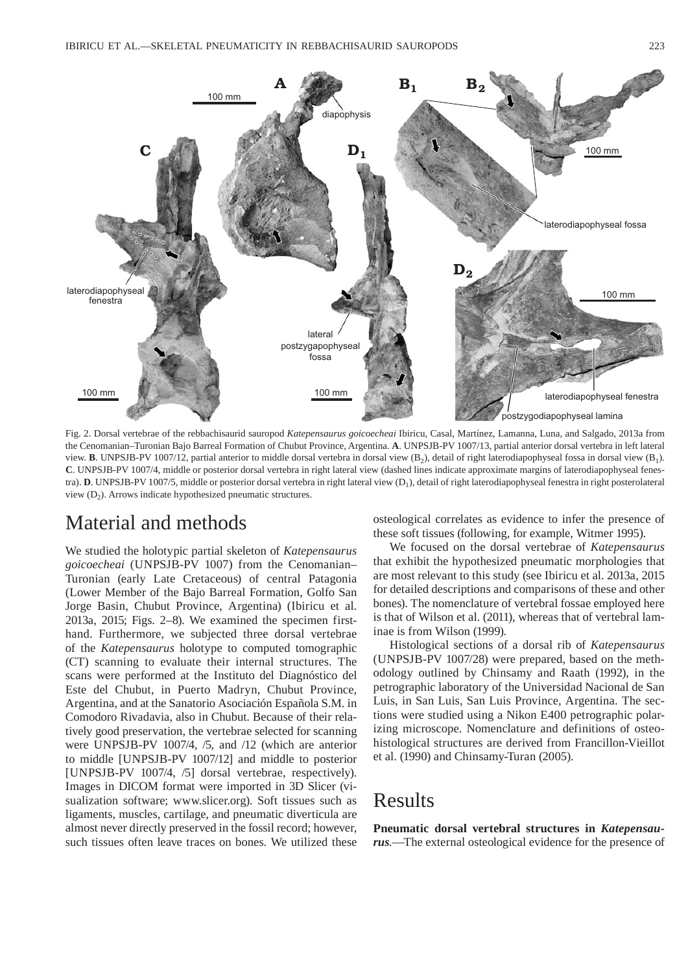

Fig. 2. Dorsal vertebrae of the rebbachisaurid sauropod *Katepensaurus goicoecheai* Ibiricu, Casal, Martínez, Lamanna, Luna, and Salgado, 2013a from the Cenomanian–Turonian Bajo Barreal Formation of Chubut Province, Argentina. **A**. UNPSJB-PV 1007/13, partial anterior dorsal vertebra in left lateral view. **B**. UNPSJB-PV 1007/12, partial anterior to middle dorsal vertebra in dorsal view (B<sub>2</sub>), detail of right laterodiapophyseal fossa in dorsal view (B<sub>1</sub>). **C**. UNPSJB-PV 1007/4, middle or posterior dorsal vertebra in right lateral view (dashed lines indicate approximate margins of laterodiapophyseal fenestra). **D**. UNPSJB-PV 1007/5, middle or posterior dorsal vertebra in right lateral view  $(D_1)$ , detail of right laterodiapophyseal fenestra in right posterolateral view  $(D_2)$ . Arrows indicate hypothesized pneumatic structures.

# Material and methods

We studied the holotypic partial skeleton of *Katepensaurus goicoecheai* (UNPSJB-PV 1007) from the Cenomanian– Turonian (early Late Cretaceous) of central Patagonia (Lower Member of the Bajo Barreal Formation, Golfo San Jorge Basin, Chubut Province, Argentina) (Ibiricu et al. 2013a, 2015; Figs. 2–8). We examined the specimen firsthand. Furthermore, we subjected three dorsal vertebrae of the *Katepensaurus* holotype to computed tomographic (CT) scanning to evaluate their internal structures. The scans were performed at the Instituto del Diagnóstico del Este del Chubut, in Puerto Madryn, Chubut Province, Argentina, and at the Sanatorio Asociación Española S.M. in Comodoro Rivadavia, also in Chubut. Because of their relatively good preservation, the vertebrae selected for scanning were UNPSJB-PV 1007/4, /5, and /12 (which are anterior to middle [UNPSJB-PV 1007/12] and middle to posterior [UNPSJB-PV 1007/4, /5] dorsal vertebrae, respectively). Images in DICOM format were imported in 3D Slicer (visualization software; www.slicer.org). Soft tissues such as ligaments, muscles, cartilage, and pneumatic diverticula are almost never directly preserved in the fossil record; however, such tissues often leave traces on bones. We utilized these osteological correlates as evidence to infer the presence of these soft tissues (following, for example, Witmer 1995).

We focused on the dorsal vertebrae of *Katepensaurus*  that exhibit the hypothesized pneumatic morphologies that are most relevant to this study (see Ibiricu et al. 2013a, 2015 for detailed descriptions and comparisons of these and other bones). The nomenclature of vertebral fossae employed here is that of Wilson et al. (2011), whereas that of vertebral laminae is from Wilson (1999).

Histological sections of a dorsal rib of *Katepensaurus* (UNPSJB-PV 1007/28) were prepared, based on the methodology outlined by Chinsamy and Raath (1992), in the petrographic laboratory of the Universidad Nacional de San Luis, in San Luis, San Luis Province, Argentina. The sections were studied using a Nikon E400 petrographic polarizing microscope. Nomenclature and definitions of osteohistological structures are derived from Francillon-Vieillot et al. (1990) and Chinsamy-Turan (2005).

#### Results

Pneumatic dorsal vertebral structures in *Katepensaurus.*—The external osteological evidence for the presence of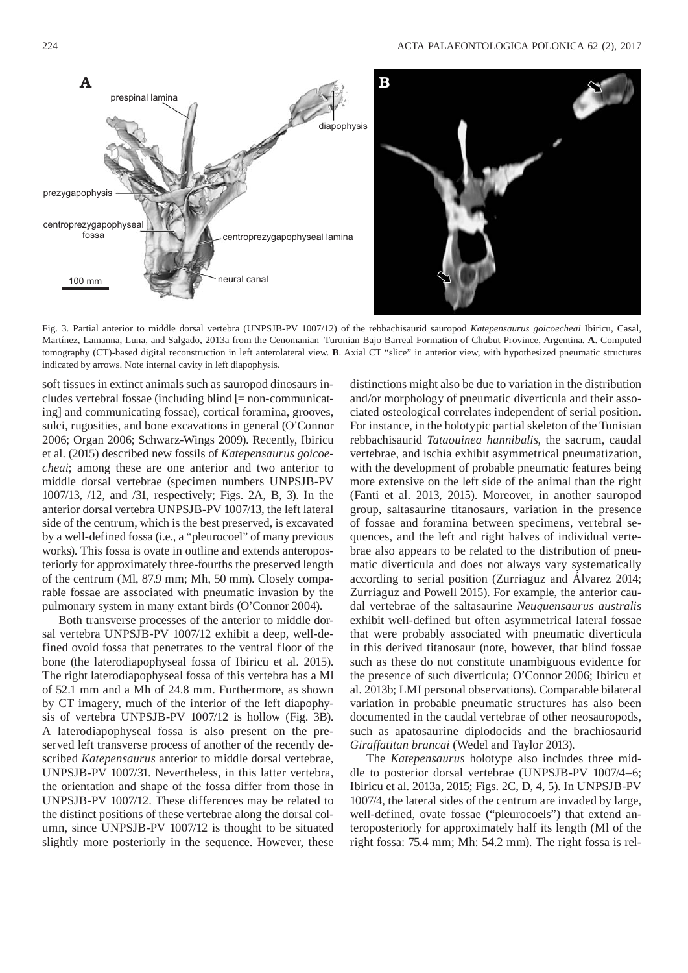

Fig. 3. Partial anterior to middle dorsal vertebra (UNPSJB-PV 1007/12) of the rebbachisaurid sauropod *Katepensaurus goicoecheai* Ibiricu, Casal, Martínez, Lamanna, Luna, and Salgado, 2013a from the Cenomanian–Turonian Bajo Barreal Formation of Chubut Province, Argentina*.* **A**. Computed tomography (CT)-based digital reconstruction in left anterolateral view. **B**. Axial CT "slice" in anterior view, with hypothesized pneumatic structures indicated by arrows. Note internal cavity in left diapophysis.

soft tissues in extinct animals such as sauropod dinosaurs includes vertebral fossae (including blind [= non-communicating] and communicating fossae), cortical foramina, grooves, sulci, rugosities, and bone excavations in general (O'Connor 2006; Organ 2006; Schwarz-Wings 2009). Recently, Ibiricu et al. (2015) described new fossils of *Katepensaurus goicoecheai*; among these are one anterior and two anterior to middle dorsal vertebrae (specimen numbers UNPSJB-PV 1007/13, /12, and /31, respectively; Figs. 2A, B, 3). In the anterior dorsal vertebra UNPSJB-PV 1007/13, the left lateral side of the centrum, which is the best preserved, is excavated by a well-defined fossa (i.e., a "pleurocoel" of many previous works). This fossa is ovate in outline and extends anteroposteriorly for approximately three-fourths the preserved length of the centrum (Ml, 87.9 mm; Mh, 50 mm). Closely comparable fossae are associated with pneumatic invasion by the pulmonary system in many extant birds (O'Connor 2004).

Both transverse processes of the anterior to middle dorsal vertebra UNPSJB-PV 1007/12 exhibit a deep, well-defined ovoid fossa that penetrates to the ventral floor of the bone (the laterodiapophyseal fossa of Ibiricu et al. 2015). The right laterodiapophyseal fossa of this vertebra has a Ml of 52.1 mm and a Mh of 24.8 mm. Furthermore, as shown by CT imagery, much of the interior of the left diapophysis of vertebra UNPSJB-PV 1007/12 is hollow (Fig. 3B). A laterodiapophyseal fossa is also present on the preserved left transverse process of another of the recently described *Katepensaurus* anterior to middle dorsal vertebrae, UNPSJB-PV 1007/31. Nevertheless, in this latter vertebra, the orientation and shape of the fossa differ from those in UNPSJB-PV 1007/12. These differences may be related to the distinct positions of these vertebrae along the dorsal column, since UNPSJB-PV 1007/12 is thought to be situated slightly more posteriorly in the sequence. However, these

distinctions might also be due to variation in the distribution and/or morphology of pneumatic diverticula and their associated osteological correlates independent of serial position. For instance, in the holotypic partial skeleton of the Tunisian rebbachisaurid *Tataouinea hannibalis*, the sacrum, caudal vertebrae, and ischia exhibit asymmetrical pneumatization, with the development of probable pneumatic features being more extensive on the left side of the animal than the right (Fanti et al. 2013, 2015). Moreover, in another sauropod group, saltasaurine titanosaurs, variation in the presence of fossae and foramina between specimens, vertebral sequences, and the left and right halves of individual vertebrae also appears to be related to the distribution of pneumatic diverticula and does not always vary systematically according to serial position (Zurriaguz and Álvarez 2014; Zurriaguz and Powell 2015). For example, the anterior caudal vertebrae of the saltasaurine *Neuquensaurus australis*  exhibit well-defined but often asymmetrical lateral fossae that were probably associated with pneumatic diverticula in this derived titanosaur (note, however, that blind fossae such as these do not constitute unambiguous evidence for the presence of such diverticula; O'Connor 2006; Ibiricu et al. 2013b; LMI personal observations). Comparable bilateral variation in probable pneumatic structures has also been documented in the caudal vertebrae of other neosauropods, such as apatosaurine diplodocids and the brachiosaurid *Giraffatitan brancai* (Wedel and Taylor 2013).

The *Katepensaurus* holotype also includes three middle to posterior dorsal vertebrae (UNPSJB-PV 1007/4–6; Ibiricu et al. 2013a, 2015; Figs. 2C, D, 4, 5). In UNPSJB-PV 1007/4, the lateral sides of the centrum are invaded by large, well-defined, ovate fossae ("pleurocoels") that extend anteroposteriorly for approximately half its length (Ml of the right fossa: 75.4 mm; Mh: 54.2 mm). The right fossa is rel-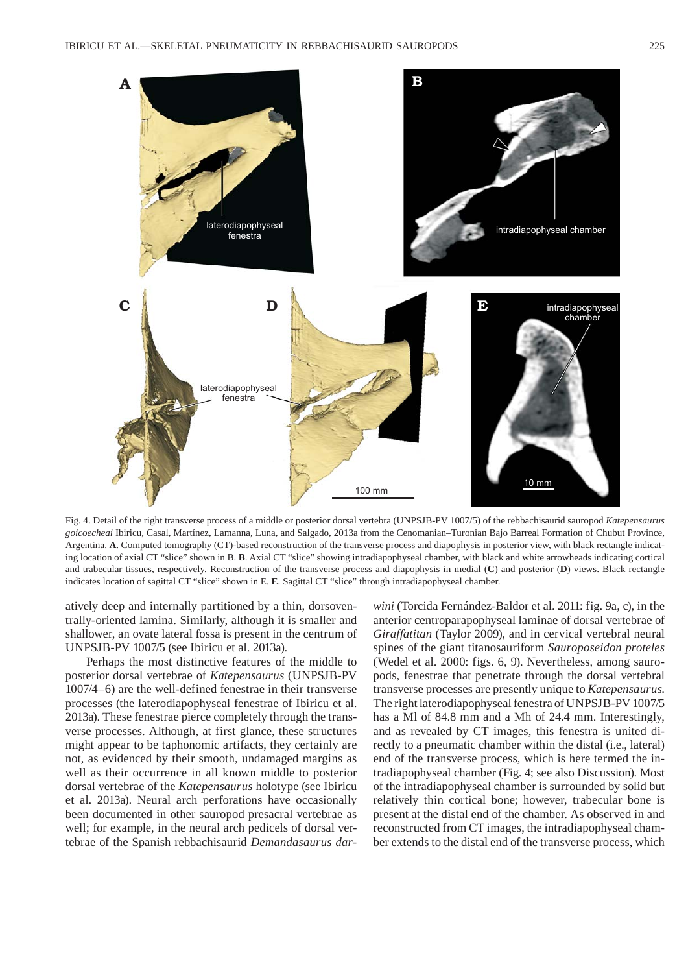

Fig. 4. Detail of the right transverse process of a middle or posterior dorsal vertebra (UNPSJB-PV 1007/5) of the rebbachisaurid sauropod *Katepensaurus goicoecheai* Ibiricu, Casal, Martínez, Lamanna, Luna, and Salgado, 2013a from the Cenomanian–Turonian Bajo Barreal Formation of Chubut Province, Argentina. **A**. Computed tomography (CT)-based reconstruction of the transverse process and diapophysis in posterior view, with black rectangle indicating location of axial CT "slice" shown in B. **B**. Axial CT "slice" showing intradiapophyseal chamber, with black and white arrowheads indicating cortical and trabecular tissues, respectively. Reconstruction of the transverse process and diapophysis in medial (**C**) and posterior (**D**) views. Black rectangle indicates location of sagittal CT "slice" shown in E. **E**. Sagittal CT "slice" through intradiapophyseal chamber.

atively deep and internally partitioned by a thin, dorsoventrally-oriented lamina. Similarly, although it is smaller and shallower, an ovate lateral fossa is present in the centrum of UNPSJB-PV 1007/5 (see Ibiricu et al. 2013a).

 Perhaps the most distinctive features of the middle to posterior dorsal vertebrae of *Katepensaurus* (UNPSJB-PV 1007/4–6) are the well-defined fenestrae in their transverse processes (the laterodiapophyseal fenestrae of Ibiricu et al. 2013a). These fenestrae pierce completely through the transverse processes. Although, at first glance, these structures might appear to be taphonomic artifacts, they certainly are not, as evidenced by their smooth, undamaged margins as well as their occurrence in all known middle to posterior dorsal vertebrae of the *Katepensaurus* holotype (see Ibiricu et al. 2013a). Neural arch perforations have occasionally been documented in other sauropod presacral vertebrae as well; for example, in the neural arch pedicels of dorsal vertebrae of the Spanish rebbachisaurid *Demandasaurus dar-* *wini* (Torcida Fernández-Baldor et al. 2011: fig. 9a, c), in the anterior centroparapophyseal laminae of dorsal vertebrae of *Giraffatitan* (Taylor 2009), and in cervical vertebral neural spines of the giant titanosauriform *Sauroposeidon proteles* (Wedel et al. 2000: figs. 6, 9). Nevertheless, among sauropods, fenestrae that penetrate through the dorsal vertebral transverse processes are presently unique to *Katepensaurus*. The right laterodiapophyseal fenestra of UNPSJB-PV 1007/5 has a Ml of 84.8 mm and a Mh of 24.4 mm. Interestingly, and as revealed by CT images, this fenestra is united directly to a pneumatic chamber within the distal (i.e., lateral) end of the transverse process, which is here termed the intradiapophyseal chamber (Fig. 4; see also Discussion). Most of the intradiapophyseal chamber is surrounded by solid but relatively thin cortical bone; however, trabecular bone is present at the distal end of the chamber. As observed in and reconstructed from CT images, the intradiapophyseal chamber extends to the distal end of the transverse process, which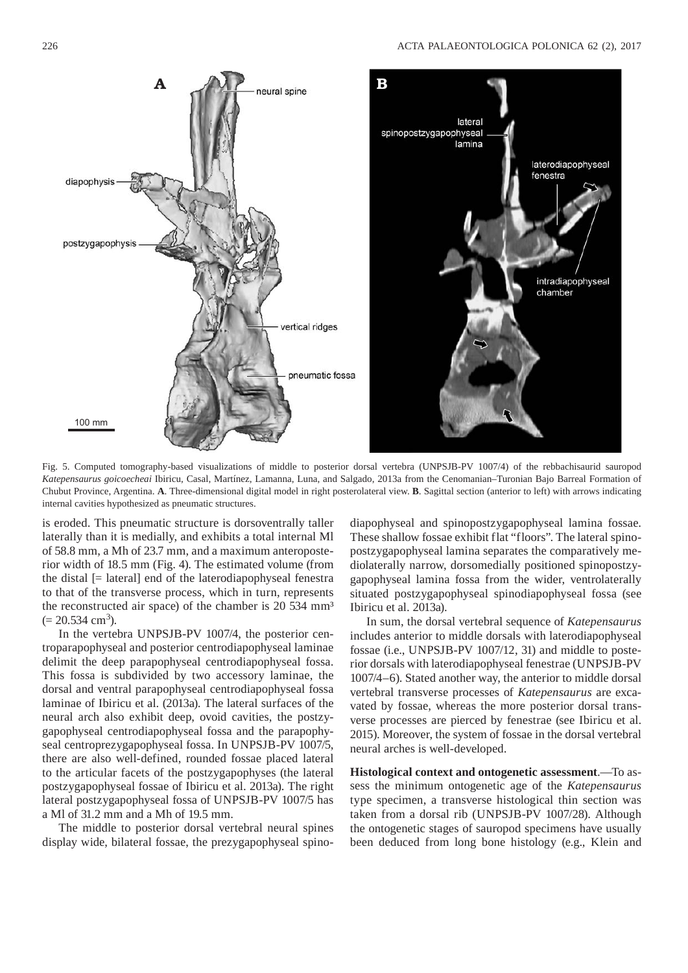

Fig. 5. Computed tomography-based visualizations of middle to posterior dorsal vertebra (UNPSJB-PV 1007/4) of the rebbachisaurid sauropod *Katepensaurus goicoecheai* Ibiricu, Casal, Martínez, Lamanna, Luna, and Salgado, 2013a from the Cenomanian–Turonian Bajo Barreal Formation of Chubut Province, Argentina. **A**. Three-dimensional digital model in right posterolateral view. **B**. Sagittal section (anterior to left) with arrows indicating internal cavities hypothesized as pneumatic structures.

is eroded. This pneumatic structure is dorsoventrally taller laterally than it is medially, and exhibits a total internal Ml of 58.8 mm, a Mh of 23.7 mm, and a maximum anteroposterior width of 18.5 mm (Fig. 4). The estimated volume (from the distal [= lateral] end of the laterodiapophyseal fenestra to that of the transverse process, which in turn, represents the reconstructed air space) of the chamber is 20 534 mm<sup>3</sup>  $(= 20.534 \text{ cm}^3).$ 

In the vertebra UNPSJB-PV 1007/4, the posterior centroparapophyseal and posterior centrodiapophyseal laminae delimit the deep parapophyseal centrodiapophyseal fossa. This fossa is subdivided by two accessory laminae, the dorsal and ventral parapophyseal centrodiapophyseal fossa laminae of Ibiricu et al. (2013a). The lateral surfaces of the neural arch also exhibit deep, ovoid cavities, the postzygapophyseal centrodiapophyseal fossa and the parapophyseal centroprezygapophyseal fossa. In UNPSJB-PV 1007/5, there are also well-defined, rounded fossae placed lateral to the articular facets of the postzygapophyses (the lateral postzygapophyseal fossae of Ibiricu et al. 2013a). The right lateral postzygapophyseal fossa of UNPSJB-PV 1007/5 has a Ml of 31.2 mm and a Mh of 19.5 mm.

The middle to posterior dorsal vertebral neural spines display wide, bilateral fossae, the prezygapophyseal spinodiapophyseal and spinopostzygapophyseal lamina fossae. These shallow fossae exhibit flat "floors". The lateral spinopostzygapophyseal lamina separates the comparatively mediolaterally narrow, dorsomedially positioned spinopostzygapophyseal lamina fossa from the wider, ventrolaterally situated postzygapophyseal spinodiapophyseal fossa (see Ibiricu et al. 2013a).

In sum, the dorsal vertebral sequence of *Katepensaurus*  includes anterior to middle dorsals with laterodiapophyseal fossae (i.e., UNPSJB-PV 1007/12, 31) and middle to posterior dorsals with laterodiapophyseal fenestrae (UNPSJB-PV 1007/4–6). Stated another way, the anterior to middle dorsal vertebral transverse processes of *Katepensaurus* are excavated by fossae, whereas the more posterior dorsal transverse processes are pierced by fenestrae (see Ibiricu et al. 2015). Moreover, the system of fossae in the dorsal vertebral neural arches is well-developed.

**Histological context and ontogenetic assessment**.—To assess the minimum ontogenetic age of the *Katepensaurus* type specimen, a transverse histological thin section was taken from a dorsal rib (UNPSJB-PV 1007/28). Although the ontogenetic stages of sauropod specimens have usually been deduced from long bone histology (e.g., Klein and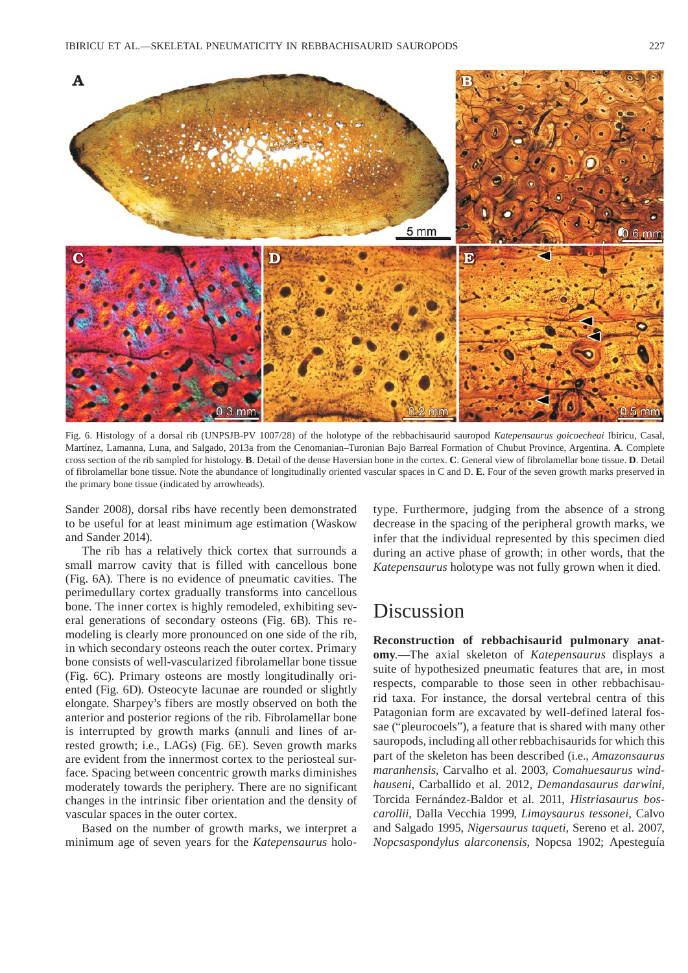

Fig. 6. Histology of a dorsal rib (UNPSJB-PV 1007/28) of the holotype of the rebbachisaurid sauropod *Katepensaurus goicoecheai* Ibiricu, Casal, Martínez, Lamanna, Luna, and Salgado, 2013a from the Cenomanian–Turonian Bajo Barreal Formation of Chubut Province, Argentina. **A**. Complete cross section of the rib sampled for histology. **B**. Detail of the dense Haversian bone in the cortex. **C**. General view of fibrolamellar bone tissue. **D**. Detail of fibrolamellar bone tissue. Note the abundance of longitudinally oriented vascular spaces in C and D. **E**. Four of the seven growth marks preserved in the primary bone tissue (indicated by arrowheads).

Sander 2008), dorsal ribs have recently been demonstrated to be useful for at least minimum age estimation (Waskow and Sander 2014).

The rib has a relatively thick cortex that surrounds a small marrow cavity that is filled with cancellous bone (Fig. 6A). There is no evidence of pneumatic cavities. The perimedullary cortex gradually transforms into cancellous bone. The inner cortex is highly remodeled, exhibiting several generations of secondary osteons (Fig. 6B). This remodeling is clearly more pronounced on one side of the rib, in which secondary osteons reach the outer cortex. Primary bone consists of well-vascularized fibrolamellar bone tissue (Fig. 6C). Primary osteons are mostly longitudinally oriented (Fig. 6D). Osteocyte lacunae are rounded or slightly elongate. Sharpey's fibers are mostly observed on both the anterior and posterior regions of the rib. Fibrolamellar bone is interrupted by growth marks (annuli and lines of arrested growth; i.e., LAGs) (Fig. 6E). Seven growth marks are evident from the innermost cortex to the periosteal surface. Spacing between concentric growth marks diminishes moderately towards the periphery. There are no significant changes in the intrinsic fiber orientation and the density of vascular spaces in the outer cortex.

Based on the number of growth marks, we interpret a minimum age of seven years for the *Katepensaurus* holotype. Furthermore, judging from the absence of a strong decrease in the spacing of the peripheral growth marks, we infer that the individual represented by this specimen died during an active phase of growth; in other words, that the *Katepensaurus* holotype was not fully grown when it died.

### Discussion

**Reconstruction of rebbachisaurid pulmonary anatomy***.*—The axial skeleton of *Katepensaurus* displays a suite of hypothesized pneumatic features that are, in most respects, comparable to those seen in other rebbachisaurid taxa. For instance, the dorsal vertebral centra of this Patagonian form are excavated by well-defined lateral fossae ("pleurocoels"), a feature that is shared with many other sauropods, including all other rebbachisaurids for which this part of the skeleton has been described (i.e., *Amazonsaurus maranhensis*, Carvalho et al. 2003, *Comahuesaurus windhauseni*, Carballido et al. 2012, *Demandasaurus darwini*, Torcida Ferná ndez-Baldor et al. 2011, *Histriasaurus boscarollii*, Dalla Vecchia 1999, *Limaysaurus tessonei*, Calvo and Salgado 1995, *Nigersaurus taqueti*, Sereno et al. 2007, *Nopcsaspondylus alarconensis*, Nopcsa 1902; Apesteguía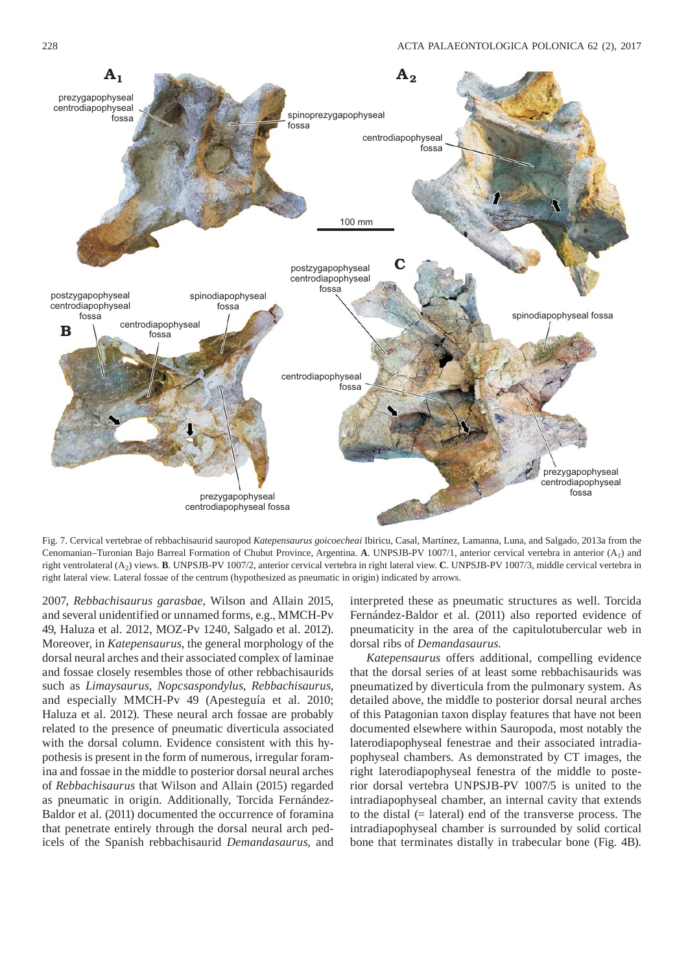

Fig. 7. Cervical vertebrae of rebbachisaurid sauropod *Katepensaurus goicoecheai* Ibiricu, Casal, Martínez, Lamanna, Luna, and Salgado, 2013a from the Cenomanian–Turonian Bajo Barreal Formation of Chubut Province, Argentina. **A**. UNPSJB-PV 1007/1, anterior cervical vertebra in anterior (A1) and right ventrolateral (A2) views. **B**. UNPSJB-PV 1007/2, anterior cervical vertebra in right lateral view. **C**. UNPSJB-PV 1007/3, middle cervical vertebra in right lateral view. Lateral fossae of the centrum (hypothesized as pneumatic in origin) indicated by arrows.

2007, *Rebbachisaurus garasbae*, Wilson and Allain 2015, and several unidentified or unnamed forms, e.g., MMCH-Pv 49, Haluza et al. 2012, MOZ-Pv 1240, Salgado et al. 2012). Moreover, in *Katepensaurus*, the general morphology of the dorsal neural arches and their associated complex of laminae and fossae closely resembles those of other rebbachisaurids such as *Limaysaurus*, *Nopcsaspondylus*, *Rebbachisaurus*, and especially MMCH-Pv 49 (Apesteguía et al. 2010; Haluza et al. 2012). These neural arch fossae are probably related to the presence of pneumatic diverticula associated with the dorsal column. Evidence consistent with this hypothesis is present in the form of numerous, irregular foramina and fossae in the middle to posterior dorsal neural arches of *Rebbachisaurus* that Wilson and Allain (2015) regarded as pneumatic in origin. Additionally, Torcida Fernández-Baldor et al. (2011) documented the occurrence of foramina that penetrate entirely through the dorsal neural arch pedicels of the Spanish rebbachisaurid *Demandasaurus*, and

interpreted these as pneumatic structures as well. Torcida Fernández-Baldor et al. (2011) also reported evidence of pneumaticity in the area of the capitulotubercular web in dorsal ribs of *Demandasaurus*.

*Katepensaurus* offers additional, compelling evidence that the dorsal series of at least some rebbachisaurids was pneumatized by diverticula from the pulmonary system. As detailed above, the middle to posterior dorsal neural arches of this Patagonian taxon display features that have not been documented elsewhere within Sauropoda, most notably the laterodiapophyseal fenestrae and their associated intradiapophyseal chambers. As demonstrated by CT images, the right laterodiapophyseal fenestra of the middle to posterior dorsal vertebra UNPSJB-PV 1007/5 is united to the intradiapophyseal chamber, an internal cavity that extends to the distal (= lateral) end of the transverse process. The intradiapophyseal chamber is surrounded by solid cortical bone that terminates distally in trabecular bone (Fig. 4B).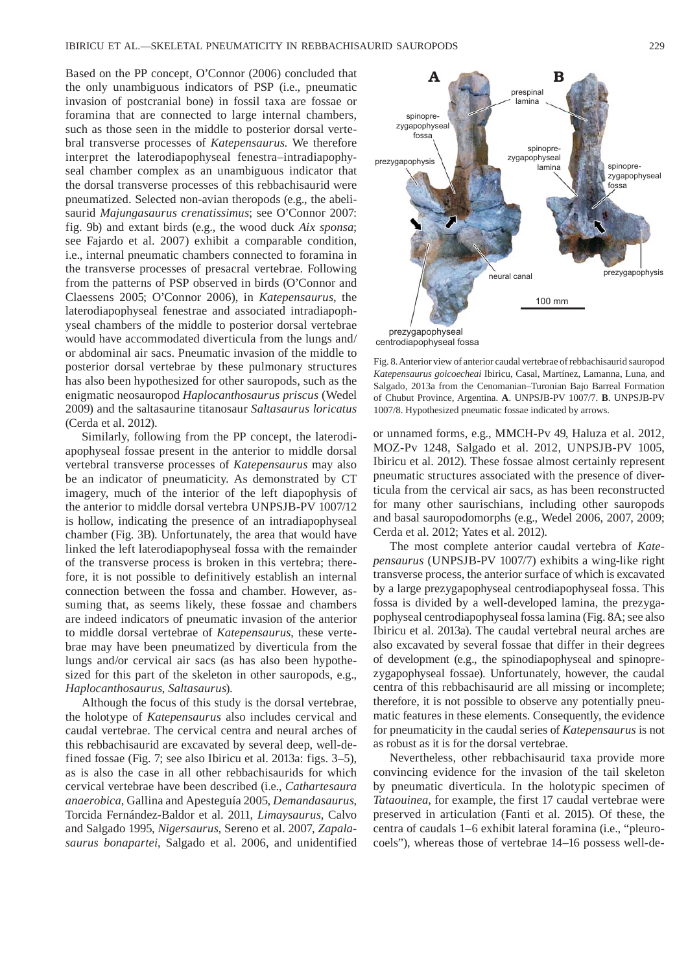Based on the PP concept, O'Connor (2006) concluded that the only unambiguous indicators of PSP (i.e., pneumatic invasion of postcranial bone) in fossil taxa are fossae or foramina that are connected to large internal chambers, such as those seen in the middle to posterior dorsal vertebral transverse processes of *Katepensaurus*. We therefore interpret the laterodiapophyseal fenestra–intradiapophyseal chamber complex as an unambiguous indicator that the dorsal transverse processes of this rebbachisaurid were pneumatized. Selected non-avian theropods (e.g., the abelisaurid *Majungasaurus crenatissimus*; see O'Connor 2007: fig. 9b) and extant birds (e.g., the wood duck *Aix sponsa*; see Fajardo et al. 2007) exhibit a comparable condition, i.e., internal pneumatic chambers connected to foramina in the transverse processes of presacral vertebrae. Following from the patterns of PSP observed in birds (O'Connor and Claessens 2005; O'Connor 2006), in *Katepensaurus*, the laterodiapophyseal fenestrae and associated intradiapophyseal chambers of the middle to posterior dorsal vertebrae would have accommodated diverticula from the lungs and/ or abdominal air sacs. Pneumatic invasion of the middle to posterior dorsal vertebrae by these pulmonary structures has also been hypothesized for other sauropods, such as the enigmatic neosauropod *Haplocanthosaurus priscus* (Wedel 2009) and the saltasaurine titanosaur *Saltasaurus loricatus* (Cerda et al. 2012).

Similarly, following from the PP concept, the laterodiapophyseal fossae present in the anterior to middle dorsal vertebral transverse processes of *Katepensaurus* may also be an indicator of pneumaticity. As demonstrated by CT imagery, much of the interior of the left diapophysis of the anterior to middle dorsal vertebra UNPSJB-PV 1007/12 is hollow, indicating the presence of an intradiapophyseal chamber (Fig. 3B). Unfortunately, the area that would have linked the left laterodiapophyseal fossa with the remainder of the transverse process is broken in this vertebra; therefore, it is not possible to definitively establish an internal connection between the fossa and chamber. However, assuming that, as seems likely, these fossae and chambers are indeed indicators of pneumatic invasion of the anterior to middle dorsal vertebrae of *Katepensaurus*, these vertebrae may have been pneumatized by diverticula from the lungs and/or cervical air sacs (as has also been hypothesized for this part of the skeleton in other sauropods, e.g., *Haplocanthosaurus*, *Saltasaurus*).

Although the focus of this study is the dorsal vertebrae, the holotype of *Katepensaurus* also includes cervical and caudal vertebrae. The cervical centra and neural arches of this rebbachisaurid are excavated by several deep, well-defined fossae (Fig. 7; see also Ibiricu et al. 2013a: figs. 3–5), as is also the case in all other rebbachisaurids for which cervical vertebrae have been described (i.e., *Cathartesaura anaerobica*, Gallina and Apesteguí a 2005, *Demandasaurus*, Torcida Fernández-Baldor et al. 2011, *Limaysaurus*, Calvo and Salgado 1995, *Nigersaurus*, Sereno et al. 2007, *Zapalasaurus bonapartei*, Salgado et al. 2006, and unidentified



Fig. 8. Anterior view of anterior caudal vertebrae of rebbachisaurid sauropod *Katepensaurus goicoecheai* Ibiricu, Casal, Martínez, Lamanna, Luna, and Salgado, 2013a from the Cenomanian–Turonian Bajo Barreal Formation of Chubut Province, Argentina. **A**. UNPSJB-PV 1007/7. **B**. UNPSJB-PV 1007/8. Hypothesized pneumatic fossae indicated by arrows.

or unnamed forms, e.g., MMCH-Pv 49, Haluza et al. 2012, MOZ-Pv 1248, Salgado et al. 2012, UNPSJB-PV 1005, Ibiricu et al. 2012). These fossae almost certainly represent pneumatic structures associated with the presence of diverticula from the cervical air sacs, as has been reconstructed for many other saurischians, including other sauropods and basal sauropodomorphs (e.g., Wedel 2006, 2007, 2009; Cerda et al. 2012; Yates et al. 2012).

The most complete anterior caudal vertebra of *Katepen saurus* (UNPSJB-PV 1007/7) exhibits a wing-like right transverse process, the anterior surface of which is excavated by a large prezygapophyseal centrodiapophyseal fossa. This fossa is divided by a well-developed lamina, the prezygapophyseal centrodiapophyseal fossa lamina (Fig. 8A; see also Ibiricu et al. 2013a). The caudal vertebral neural arches are also excavated by several fossae that differ in their degrees of development (e.g., the spinodiapophyseal and spinoprezygapophyseal fossae). Unfortunately, however, the caudal centra of this rebbachisaurid are all missing or incomplete; therefore, it is not possible to observe any potentially pneumatic features in these elements. Consequently, the evidence for pneumaticity in the caudal series of *Katepensaurus* is not as robust as it is for the dorsal vertebrae.

Nevertheless, other rebbachisaurid taxa provide more convincing evidence for the invasion of the tail skeleton by pneumatic diverticula. In the holotypic specimen of *Tataouinea*, for example, the first 17 caudal vertebrae were preserved in articulation (Fanti et al. 2015). Of these, the centra of caudals 1–6 exhibit lateral foramina (i.e., "pleurocoels"), whereas those of vertebrae 14–16 possess well-de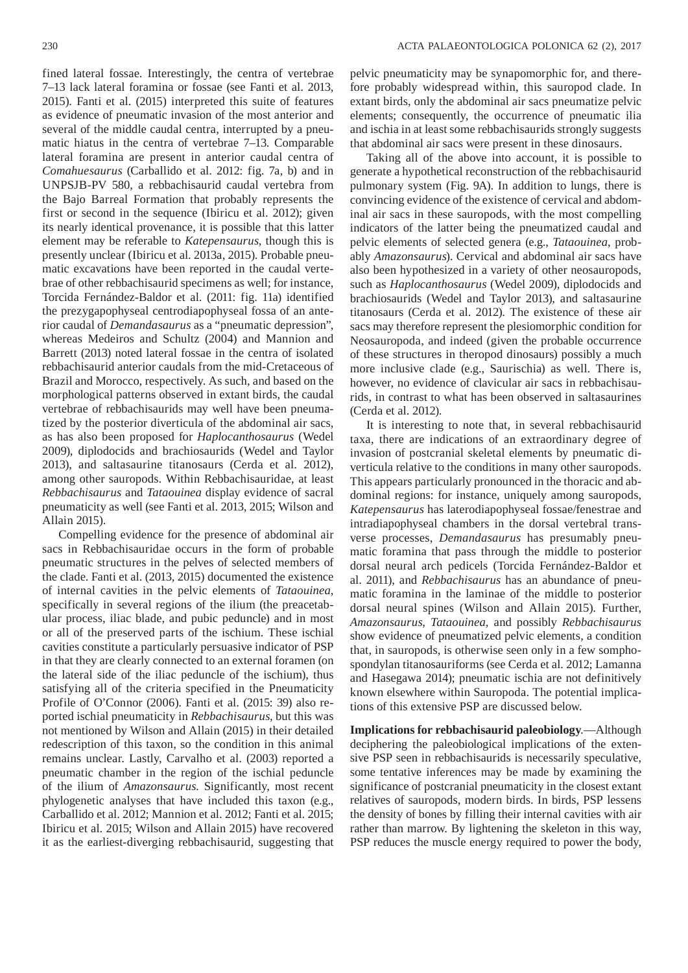fined lateral fossae. Interestingly, the centra of vertebrae 7–13 lack lateral foramina or fossae (see Fanti et al. 2013, 2015). Fanti et al. (2015) interpreted this suite of features as evidence of pneumatic invasion of the most anterior and several of the middle caudal centra, interrupted by a pneumatic hiatus in the centra of vertebrae 7–13. Comparable lateral foramina are present in anterior caudal centra of *Comahuesaurus* (Carballido et al. 2012: fig. 7a, b) and in UNPSJB-PV 580, a rebbachisaurid caudal vertebra from the Bajo Barreal Formation that probably represents the first or second in the sequence (Ibiricu et al. 2012); given its nearly identical provenance, it is possible that this latter element may be referable to *Katepensaurus*, though this is presently unclear (Ibiricu et al. 2013a, 2015). Probable pneumatic excavations have been reported in the caudal vertebrae of other rebbachisaurid specimens as well; for instance, Torcida Fernández-Baldor et al. (2011: fig. 11a) identified the prezygapophyseal centrodiapophyseal fossa of an anterior caudal of *Demandasaurus* as a "pneumatic depression", whereas Medeiros and Schultz (2004) and Mannion and Barrett (2013) noted lateral fossae in the centra of isolated rebbachisaurid anterior caudals from the mid-Cretaceous of Brazil and Morocco, respectively. As such, and based on the morphological patterns observed in extant birds, the caudal vertebrae of rebbachisaurids may well have been pneumatized by the posterior diverticula of the abdominal air sacs, as has also been proposed for *Haplocanthosaurus* (Wedel 2009), diplodocids and brachiosaurids (Wedel and Taylor 2013), and saltasaurine titanosaurs (Cerda et al. 2012), among other sauropods. Within Rebbachisauridae, at least *Rebbachisaurus* and *Tataouinea* display evidence of sacral pneumaticity as well (see Fanti et al. 2013, 2015; Wilson and Allain 2015).

Compelling evidence for the presence of abdominal air sacs in Rebbachisauridae occurs in the form of probable pneumatic structures in the pelves of selected members of the clade. Fanti et al. (2013, 2015) documented the existence of internal cavities in the pelvic elements of *Tataouinea*, specifically in several regions of the ilium (the preacetabular process, iliac blade, and pubic peduncle) and in most or all of the preserved parts of the ischium. These ischial cavities constitute a particularly persuasive indicator of PSP in that they are clearly connected to an external foramen (on the lateral side of the iliac peduncle of the ischium), thus satisfying all of the criteria specified in the Pneumaticity Profile of O'Connor (2006). Fanti et al. (2015: 39) also reported ischial pneumaticity in *Rebbachisaurus*, but this was not mentioned by Wilson and Allain (2015) in their detailed redescription of this taxon, so the condition in this animal remains unclear. Lastly, Carvalho et al. (2003) reported a pneumatic chamber in the region of the ischial peduncle of the ilium of *Amazonsaurus*. Significantly, most recent phylogenetic analyses that have included this taxon (e.g., Carballido et al. 2012; Mannion et al. 2012; Fanti et al. 2015; Ibiricu et al. 2015; Wilson and Allain 2015) have recovered it as the earliest-diverging rebbachisaurid, suggesting that

pelvic pneumaticity may be synapomorphic for, and therefore probably widespread within, this sauropod clade. In extant birds, only the abdominal air sacs pneumatize pelvic elements; consequently, the occurrence of pneumatic ilia and ischia in at least some rebbachisaurids strongly suggests that abdominal air sacs were present in these dinosaurs.

Taking all of the above into account, it is possible to generate a hypothetical reconstruction of the rebbachisaurid pulmonary system (Fig. 9A). In addition to lungs, there is convincing evidence of the existence of cervical and abdominal air sacs in these sauropods, with the most compelling indicators of the latter being the pneumatized caudal and pelvic elements of selected genera (e.g., *Tataouinea*, probably *Amazonsaurus*). Cervical and abdominal air sacs have also been hypothesized in a variety of other neosauropods, such as *Haplocanthosaurus* (Wedel 2009), diplodocids and brachiosaurids (Wedel and Taylor 2013), and saltasaurine titanosaurs (Cerda et al. 2012). The existence of these air sacs may therefore represent the plesiomorphic condition for Neosauropoda, and indeed (given the probable occurrence of these structures in theropod dinosaurs) possibly a much more inclusive clade (e.g., Saurischia) as well. There is, however, no evidence of clavicular air sacs in rebbachisaurids, in contrast to what has been observed in saltasaurines (Cerda et al. 2012).

It is interesting to note that, in several rebbachisaurid taxa, there are indications of an extraordinary degree of invasion of postcranial skeletal elements by pneumatic diverticula relative to the conditions in many other sauropods. This appears particularly pronounced in the thoracic and abdominal regions: for instance, uniquely among sauropods, *Katepensaurus* has laterodiapophyseal fossae/fenestrae and intradiapophyseal chambers in the dorsal vertebral transverse processes, *Demandasaurus* has presumably pneumatic foramina that pass through the middle to posterior dorsal neural arch pedicels (Torcida Fernández-Baldor et al. 2011), and *Rebbachisaurus* has an abundance of pneumatic foramina in the laminae of the middle to posterior dorsal neural spines (Wilson and Allain 2015). Further, *Amazonsaurus*, *Tataouinea*, and possibly *Rebbachisaurus* show evidence of pneumatized pelvic elements, a condition that, in sauropods, is otherwise seen only in a few somphospondylan titanosauriforms (see Cerda et al. 2012; Lamanna and Hasegawa 2014); pneumatic ischia are not definitively known elsewhere within Sauropoda. The potential implications of this extensive PSP are discussed below.

**Implications for rebbachisaurid paleobiology***.*—Although deciphering the paleobiological implications of the extensive PSP seen in rebbachisaurids is necessarily speculative, some tentative inferences may be made by examining the significance of postcranial pneumaticity in the closest extant relatives of sauropods, modern birds. In birds, PSP lessens the density of bones by filling their internal cavities with air rather than marrow. By lightening the skeleton in this way, PSP reduces the muscle energy required to power the body,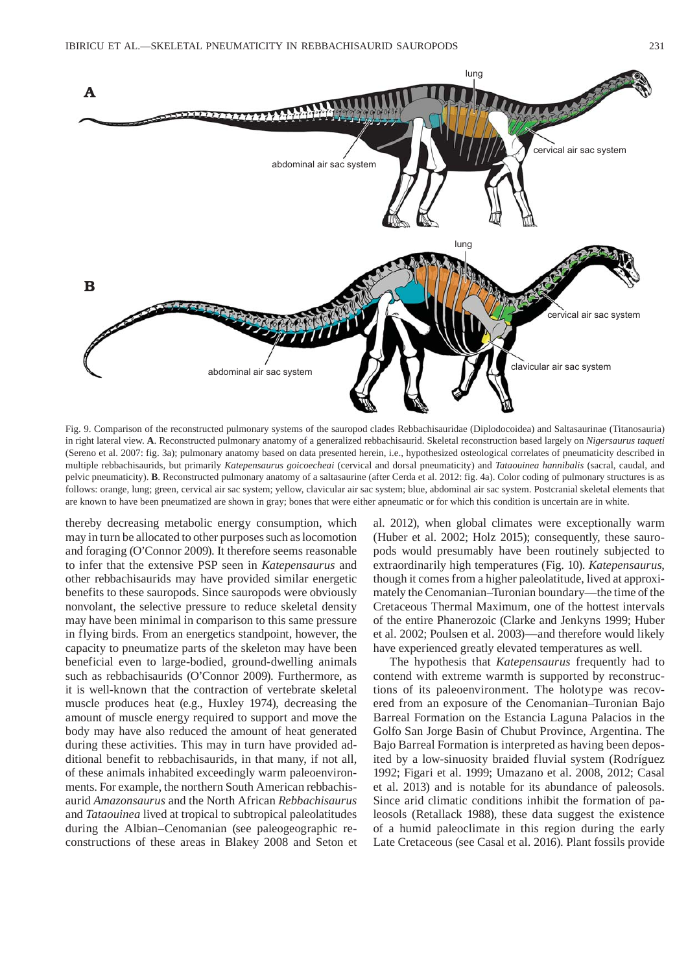

Fig. 9. Comparison of the reconstructed pulmonary systems of the sauropod clades Rebbachisauridae (Diplodocoidea) and Saltasaurinae (Titanosauria) in right lateral view. **A**. Reconstructed pulmonary anatomy of a generalized rebbachisaurid. Skeletal reconstruction based largely on *Nigersaurus taqueti* (Sereno et al. 2007: fig. 3a); pulmonary anatomy based on data presented herein, i.e., hypothesized osteological correlates of pneumaticity described in multiple rebbachisaurids, but primarily *Katepensaurus goicoecheai* (cervical and dorsal pneumaticity) and *Tataouinea hannibalis* (sacral, caudal, and pelvic pneumaticity). **B**. Reconstructed pulmonary anatomy of a saltasaurine (after Cerda et al. 2012: fig. 4a). Color coding of pulmonary structures is as follows: orange, lung; green, cervical air sac system; yellow, clavicular air sac system; blue, abdominal air sac system. Postcranial skeletal elements that are known to have been pneumatized are shown in gray; bones that were either apneumatic or for which this condition is uncertain are in white.

thereby decreasing metabolic energy consumption, which may in turn be allocated to other purposes such as locomotion and foraging (O'Connor 2009). It therefore seems reasonable to infer that the extensive PSP seen in *Katepensaurus* and other rebbachisaurids may have provided similar energetic benefits to these sauropods. Since sauropods were obviously nonvolant, the selective pressure to reduce skeletal density may have been minimal in comparison to this same pressure in flying birds. From an energetics standpoint, however, the capacity to pneumatize parts of the skeleton may have been beneficial even to large-bodied, ground-dwelling animals such as rebbachisaurids (O'Connor 2009). Furthermore, as it is well-known that the contraction of vertebrate skeletal muscle produces heat (e.g., Huxley 1974), decreasing the amount of muscle energy required to support and move the body may have also reduced the amount of heat generated during these activities. This may in turn have provided additional benefit to rebbachisaurids, in that many, if not all, of these animals inhabited exceedingly warm paleoenvironments. For example, the northern South American rebbachisaurid *Amazonsaurus* and the North African *Rebbachisaurus*  and *Tataouinea* lived at tropical to subtropical paleolatitudes during the Albian–Cenomanian (see paleogeographic reconstructions of these areas in Blakey 2008 and Seton et al. 2012), when global climates were exceptionally warm (Huber et al. 2002; Holz 2015); consequently, these sauropods would presumably have been routinely subjected to extraordinarily high temperatures (Fig. 10). *Katepensaurus*, though it comes from a higher paleolatitude, lived at approximately the Cenomanian–Turonian boundary—the time of the Cretaceous Thermal Maximum, one of the hottest intervals of the entire Phanerozoic (Clarke and Jenkyns 1999; Huber et al. 2002; Poulsen et al. 2003)—and therefore would likely have experienced greatly elevated temperatures as well.

The hypothesis that *Katepensaurus* frequently had to contend with extreme warmth is supported by reconstructions of its paleoenvironment. The holotype was recovered from an exposure of the Cenomanian–Turonian Bajo Barreal Formation on the Estancia Laguna Palacios in the Golfo San Jorge Basin of Chubut Province, Argentina. The Bajo Barreal Formation is interpreted as having been deposited by a low-sinuosity braided fluvial system (Rodríguez 1992; Figari et al. 1999; Umazano et al. 2008, 2012; Casal et al. 2013) and is notable for its abundance of paleosols. Since arid climatic conditions inhibit the formation of paleosols (Retallack 1988), these data suggest the existence of a humid paleoclimate in this region during the early Late Cretaceous (see Casal et al. 2016). Plant fossils provide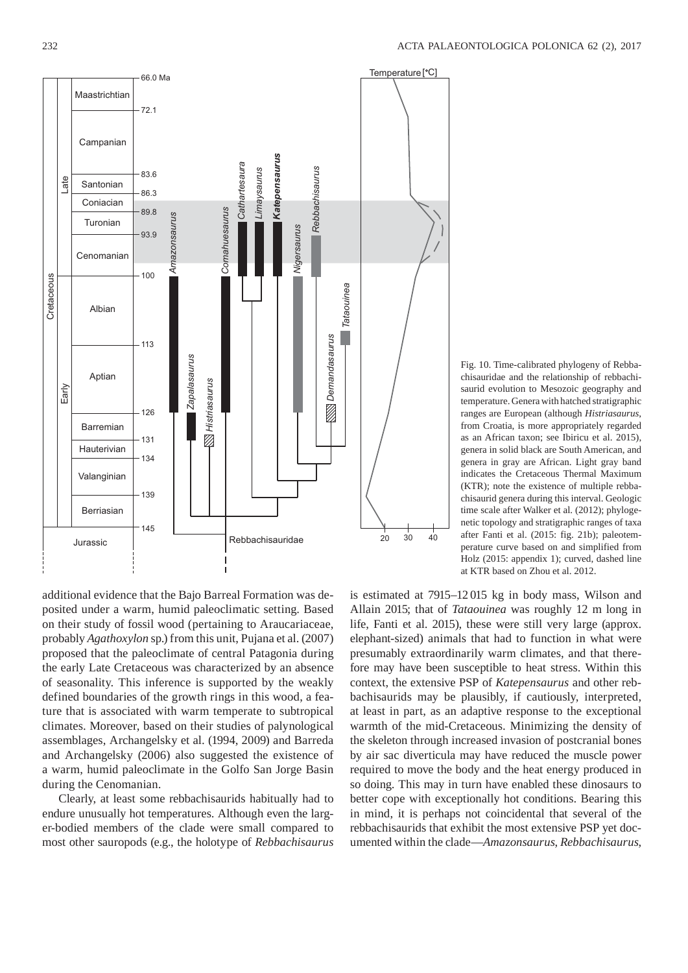

Fig. 10. Time-calibrated phylogeny of Rebbachisauridae and the relationship of rebbachisaurid evolution to Mesozoic geography and temperature. Genera with hatched stratigraphic ranges are European (although *Histriasaurus*, from Croatia, is more appropriately regarded as an African taxon; see Ibiricu et al. 2015), genera in solid black are South American, and genera in gray are African. Light gray band indicates the Cretaceous Thermal Maximum (KTR); note the existence of multiple rebbachisaurid genera during this interval. Geologic time scale after Walker et al. (2012); phylogenetic topology and stratigraphic ranges of taxa after Fanti et al. (2015: fig. 21b); paleotemperature curve based on and simplified from Holz (2015: appendix 1); curved, dashed line at KTR based on Zhou et al. 2012.

additional evidence that the Bajo Barreal Formation was deposited under a warm, humid paleoclimatic setting. Based on their study of fossil wood (pertaining to Araucariaceae, probably *Agathoxylon* sp.) from this unit, Pujana et al. (2007) proposed that the paleoclimate of central Patagonia during the early Late Cretaceous was characterized by an absence of seasonality. This inference is supported by the weakly defined boundaries of the growth rings in this wood, a feature that is associated with warm temperate to subtropical climates. Moreover, based on their studies of palynological assemblages, Archangelsky et al. (1994, 2009) and Barreda and Archangelsky (2006) also suggested the existence of a warm, humid paleoclimate in the Golfo San Jorge Basin during the Cenomanian.

Clearly, at least some rebbachisaurids habitually had to endure unusually hot temperatures. Although even the larger-bodied members of the clade were small compared to most other sauropods (e.g., the holotype of *Rebbachisaurus*

is estimated at 7915–12 015 kg in body mass, Wilson and Allain 2015; that of *Tataouinea* was roughly 12 m long in life, Fanti et al. 2015), these were still very large (approx. elephant-sized) animals that had to function in what were presumably extraordinarily warm climates, and that therefore may have been susceptible to heat stress. Within this context, the extensive PSP of *Katepensaurus* and other rebbachisaurids may be plausibly, if cautiously, interpreted, at least in part, as an adaptive response to the exceptional warmth of the mid-Cretaceous. Minimizing the density of the skeleton through increased invasion of postcranial bones by air sac diverticula may have reduced the muscle power required to move the body and the heat energy produced in so doing. This may in turn have enabled these dinosaurs to better cope with exceptionally hot conditions. Bearing this in mind, it is perhaps not coincidental that several of the rebbachisaurids that exhibit the most extensive PSP yet documented within the clade—*Amazonsaurus*, *Rebbachisaurus*,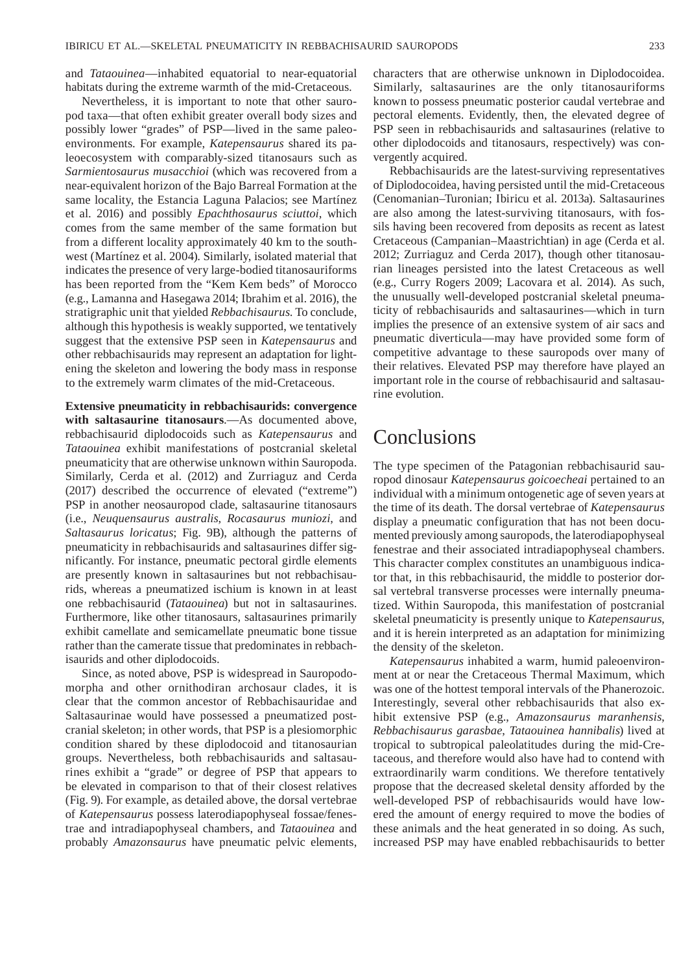and *Tataouinea*—inhabited equatorial to near-equatorial habitats during the extreme warmth of the mid-Cretaceous.

Nevertheless, it is important to note that other sauropod taxa—that often exhibit greater overall body sizes and possibly lower "grades" of PSP—lived in the same paleoenvironments. For example, *Katepensaurus* shared its paleoecosystem with comparably-sized titanosaurs such as *Sarmientosaurus musacchioi* (which was recovered from a near-equivalent horizon of the Bajo Barreal Formation at the same locality, the Estancia Laguna Palacios; see Martínez et al. 2016) and possibly *Epachthosaurus sciuttoi*, which comes from the same member of the same formation but from a different locality approximately 40 km to the southwest (Martínez et al. 2004). Similarly, isolated material that indicates the presence of very large-bodied titanosauriforms has been reported from the "Kem Kem beds" of Morocco (e.g., Lamanna and Hasegawa 2014; Ibrahim et al. 2016), the stratigraphic unit that yielded *Rebbachisaurus*. To conclude, although this hypothesis is weakly supported, we tentatively suggest that the extensive PSP seen in *Katepensaurus* and other rebbachisaurids may represent an adaptation for lightening the skeleton and lowering the body mass in response to the extremely warm climates of the mid-Cretaceous.

**Extensive pneumaticity in rebbachisaurids: convergence with saltasaurine titanosaurs**.—As documented above, rebbachisaurid diplodocoids such as *Katepensaurus* and *Tataouinea* exhibit manifestations of postcranial skeletal pneumaticity that are otherwise unknown within Sauropoda. Similarly, Cerda et al. (2012) and Zurriaguz and Cerda (2017) described the occurrence of elevated ("extreme") PSP in another neosauropod clade, saltasaurine titanosaurs (i.e., *Neuquensaurus australis*, *Rocasaurus muniozi*, and *Saltasaurus loricatus*; Fig. 9B), although the patterns of pneumaticity in rebbachisaurids and saltasaurines differ significantly. For instance, pneumatic pectoral girdle elements are presently known in saltasaurines but not rebbachisaurids, whereas a pneumatized ischium is known in at least one rebbachisaurid (*Tataouinea*) but not in saltasaurines. Furthermore, like other titanosaurs, saltasaurines primarily exhibit camellate and semicamellate pneumatic bone tissue rather than the camerate tissue that predominates in rebbachisaurids and other diplodocoids.

Since, as noted above, PSP is widespread in Sauropodomorpha and other ornithodiran archosaur clades, it is clear that the common ancestor of Rebbachisauridae and Saltasaurinae would have possessed a pneumatized postcranial skeleton; in other words, that PSP is a plesiomorphic condition shared by these diplodocoid and titanosaurian groups. Nevertheless, both rebbachisaurids and saltasaurines exhibit a "grade" or degree of PSP that appears to be elevated in comparison to that of their closest relatives (Fig. 9). For example, as detailed above, the dorsal vertebrae of *Katepensaurus* possess laterodiapophyseal fossae/fenestrae and intradiapophyseal chambers, and *Tataouinea* and probably *Amazonsaurus* have pneumatic pelvic elements, characters that are otherwise unknown in Diplodocoidea. Similarly, saltasaurines are the only titanosauriforms known to possess pneumatic posterior caudal vertebrae and pectoral elements. Evidently, then, the elevated degree of PSP seen in rebbachisaurids and saltasaurines (relative to other diplodocoids and titanosaurs, respectively) was convergently acquired.

Rebbachisaurids are the latest-surviving representatives of Diplodocoidea, having persisted until the mid-Cretaceous (Cenomanian–Turonian; Ibiricu et al. 2013a). Saltasaurines are also among the latest-surviving titanosaurs, with fossils having been recovered from deposits as recent as latest Cretaceous (Campanian–Maastrichtian) in age (Cerda et al. 2012; Zurriaguz and Cerda 2017), though other titanosaurian lineages persisted into the latest Cretaceous as well (e.g., Curry Rogers 2009; Lacovara et al. 2014). As such, the unusually well-developed postcranial skeletal pneumaticity of rebbachisaurids and saltasaurines—which in turn implies the presence of an extensive system of air sacs and pneumatic diverticula—may have provided some form of competitive advantage to these sauropods over many of their relatives. Elevated PSP may therefore have played an important role in the course of rebbachisaurid and saltasaurine evolution.

#### Conclusions

The type specimen of the Patagonian rebbachisaurid sauropod dinosaur *Katepensaurus goicoecheai* pertained to an individual with a minimum ontogenetic age of seven years at the time of its death. The dorsal vertebrae of *Katepensaurus* display a pneumatic configuration that has not been documented previously among sauropods, the laterodiapophyseal fenestrae and their associated intradiapophyseal chambers. This character complex constitutes an unambiguous indicator that, in this rebbachisaurid, the middle to posterior dorsal vertebral transverse processes were internally pneumatized. Within Sauropoda, this manifestation of postcranial skeletal pneumaticity is presently unique to *Katepensaurus*, and it is herein interpreted as an adaptation for minimizing the density of the skeleton.

*Katepensaurus* inhabited a warm, humid paleoenvironment at or near the Cretaceous Thermal Maximum, which was one of the hottest temporal intervals of the Phanerozoic. Interestingly, several other rebbachisaurids that also exhibit extensive PSP (e.g., *Amazonsaurus maranhensis*, *Rebbachisaurus garasbae*, *Tataouinea hannibalis*) lived at tropical to subtropical paleolatitudes during the mid-Cretaceous, and therefore would also have had to contend with extraordinarily warm conditions. We therefore tentatively propose that the decreased skeletal density afforded by the well-developed PSP of rebbachisaurids would have lowered the amount of energy required to move the bodies of these animals and the heat generated in so doing. As such, increased PSP may have enabled rebbachisaurids to better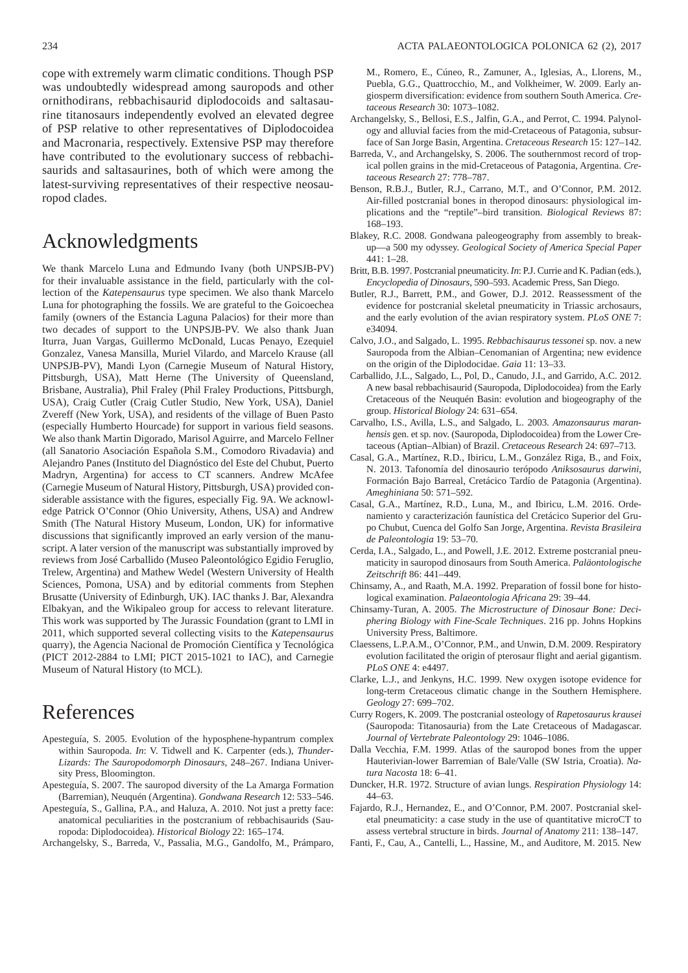cope with extremely warm climatic conditions. Though PSP was undoubtedly widespread among sauropods and other ornithodirans, rebbachisaurid diplodocoids and saltasaurine titanosaurs independently evolved an elevated degree of PSP relative to other representatives of Diplodocoidea and Macronaria, respectively. Extensive PSP may therefore have contributed to the evolutionary success of rebbachisaurids and saltasaurines, both of which were among the latest-surviving representatives of their respective neosauropod clades.

### Acknowledgments

We thank Marcelo Luna and Edmundo Ivany (both UNPSJB-PV) for their invaluable assistance in the field, particularly with the collection of the *Katepensaurus* type specimen. We also thank Marcelo Luna for photographing the fossils. We are grateful to the Goicoechea family (owners of the Estancia Laguna Palacios) for their more than two decades of support to the UNPSJB-PV. We also thank Juan Iturra, Juan Vargas, Guillermo McDonald, Lucas Penayo, Ezequiel Gonzalez, Vanesa Mansilla, Muriel Vilardo, and Marcelo Krause (all UNPSJB-PV), Mandi Lyon (Carnegie Museum of Natural History, Pittsburgh, USA), Matt Herne (The University of Queensland, Brisbane, Australia), Phil Fraley (Phil Fraley Productions, Pittsburgh, USA), Craig Cutler (Craig Cutler Studio, New York, USA), Daniel Zvereff (New York, USA), and residents of the village of Buen Pasto (especially Humberto Hourcade) for support in various field seasons. We also thank Martin Digorado, Marisol Aguirre, and Marcelo Fellner (all Sanatorio Asociación Española S.M., Comodoro Rivadavia) and Alejandro Panes (Instituto del Diagnóstico del Este del Chubut, Puerto Madryn, Argentina) for access to CT scanners. Andrew McAfee (Carnegie Museum of Natural History, Pittsburgh, USA) provided considerable assistance with the figures, especially Fig. 9A. We acknowledge Patrick O'Connor (Ohio University, Athens, USA) and Andrew Smith (The Natural History Museum, London, UK) for informative discussions that significantly improved an early version of the manuscript. A later version of the manuscript was substantially improved by reviews from José Carballido (Museo Paleontológico Egidio Feruglio, Trelew, Argentina) and Mathew Wedel (Western University of Health Sciences, Pomona, USA) and by editorial comments from Stephen Brusatte (University of Edinburgh, UK). IAC thanks J. Bar, Alexandra Elbakyan, and the Wikipaleo group for access to relevant literature. This work was supported by The Jurassic Foundation (grant to LMI in 2011, which supported several collecting visits to the *Katepensaurus* quarry), the Agencia Nacional de Promoción Científica y Tecnológica (PICT 2012-2884 to LMI; PICT 2015-1021 to IAC), and Carnegie Museum of Natural History (to MCL).

# References

- Apesteguía, S. 2005. Evolution of the hyposphene-hypantrum complex within Sauropoda. *In*: V. Tidwell and K. Carpenter (eds.), *Thunder-Lizards: The Sauropodomorph Dinosaurs*, 248–267. Indiana University Press, Bloomington.
- Apesteguía, S. 2007. The sauropod diversity of the La Amarga Formation (Barremian), Neuquén (Argentina). *Gondwana Research* 12: 533–546.
- Apesteguía, S., Gallina, P.A., and Haluza, A. 2010. Not just a pretty face: anatomical peculiarities in the postcranium of rebbachisaurids (Sauropoda: Diplodocoidea). *Historical Biology* 22: 165–174.
- Archangelsky, S., Barreda, V., Passalia, M.G., Gandolfo, M., Prámparo,

M., Romero, E., Cúneo, R., Zamuner, A., Iglesias, A., Llorens, M., Puebla, G.G., Quattrocchio, M., and Volkheimer, W. 2009. Early angiosperm diversification: evidence from southern South America. *Cretaceous Research* 30: 1073–1082.

- Archangelsky, S., Bellosi, E.S., Jalfin, G.A., and Perrot, C. 1994. Palynology and alluvial facies from the mid-Cretaceous of Patagonia, subsurface of San Jorge Basin, Argentina. *Cretaceous Research* 15: 127–142.
- Barreda, V., and Archangelsky, S. 2006. The southernmost record of tropical pollen grains in the mid-Cretaceous of Patagonia, Argentina. *Cretaceous Research* 27: 778–787.
- Benson, R.B.J., Butler, R.J., Carrano, M.T., and O'Connor, P.M. 2012. Air-filled postcranial bones in theropod dinosaurs: physiological implications and the "reptile"–bird transition. *Biological Reviews* 87: 168–193.
- Blakey, R.C. 2008. Gondwana paleogeography from assembly to breakup—a 500 my odyssey. *Geological Society of America Special Paper* 441: 1–28.
- Britt, B.B. 1997. Postcranial pneumaticity. *In*: P.J. Currie and K. Padian (eds.), *Encyclopedia of Dinosaurs*, 590–593. Academic Press, San Diego.
- Butler, R.J., Barrett, P.M., and Gower, D.J. 2012. Reassessment of the evidence for postcranial skeletal pneumaticity in Triassic archosaurs, and the early evolution of the avian respiratory system. *PLoS ONE* 7: e34094.
- Calvo, J.O., and Salgado, L. 1995. *Rebbachisaurus tessonei* sp. nov. a new Sauropoda from the Albian–Cenomanian of Argentina; new evidence on the origin of the Diplodocidae. *Gaia* 11: 13–33.
- Carballido, J.L., Salgado, L., Pol, D., Canudo, J.I., and Garrido, A.C. 2012. A new basal rebbachisaurid (Sauropoda, Diplodocoidea) from the Early Cretaceous of the Neuquén Basin: evolution and biogeography of the group. *Historical Biology* 24: 631–654.
- Carvalho, I.S., Avilla, L.S., and Salgado, L. 2003. *Amazonsaurus maranhensis* gen. et sp. nov. (Sauropoda, Diplodocoidea) from the Lower Cretaceous (Aptian–Albian) of Brazil. *Cretaceous Research* 24: 697–713.
- Casal, G.A., Martínez, R.D., Ibiricu, L.M., González Riga, B., and Foix, N. 2013. Tafonomía del dinosaurio terópodo *Aniksosaurus darwini*, Formación Bajo Barreal, Cretácico Tardío de Patagonia (Argentina). *Ameghiniana* 50: 571–592.
- Casal, G.A., Martínez, R.D., Luna, M., and Ibiricu, L.M. 2016. Ordenamiento y caracterización faunística del Cretácico Superior del Grupo Chubut, Cuenca del Golfo San Jorge, Argentina. *Revista Brasileira de Paleontologia* 19: 53–70.
- Cerda, I.A., Salgado, L., and Powell, J.E. 2012. Extreme postcranial pneumaticity in sauropod dinosaurs from South America. *Paläontologische Zeitschrift* 86: 441–449.
- Chinsamy, A., and Raath, M.A. 1992. Preparation of fossil bone for histological examination. *Palaeontologia Africana* 29: 39–44.
- Chinsamy-Turan, A. 2005. *The Microstructure of Dinosaur Bone: Deciphering Biology with Fine-Scale Techniques*. 216 pp. Johns Hopkins University Press, Baltimore.
- Claessens, L.P.A.M., O'Connor, P.M., and Unwin, D.M. 2009. Respiratory evolution facilitated the origin of pterosaur flight and aerial gigantism. *PLoS ONE* 4: e4497.
- Clarke, L.J., and Jenkyns, H.C. 1999. New oxygen isotope evidence for long-term Cretaceous climatic change in the Southern Hemisphere. *Geology* 27: 699–702.
- Curry Rogers, K. 2009. The postcranial osteology of *Rapetosaurus krausei* (Sauropoda: Titanosauria) from the Late Cretaceous of Madagascar. *Journal of Vertebrate Paleontology* 29: 1046–1086.
- Dalla Vecchia, F.M. 1999. Atlas of the sauropod bones from the upper Hauterivian-lower Barremian of Bale/Valle (SW Istria, Croatia). *Natura Nacosta* 18: 6–41.
- Duncker, H.R. 1972. Structure of avian lungs. *Respiration Physiology* 14: 44–63.
- Fajardo, R.J., Hernandez, E., and O'Connor, P.M. 2007. Postcranial skeletal pneumaticity: a case study in the use of quantitative microCT to assess vertebral structure in birds. *Journal of Anatomy* 211: 138–147.
- Fanti, F., Cau, A., Cantelli, L., Hassine, M., and Auditore, M. 2015. New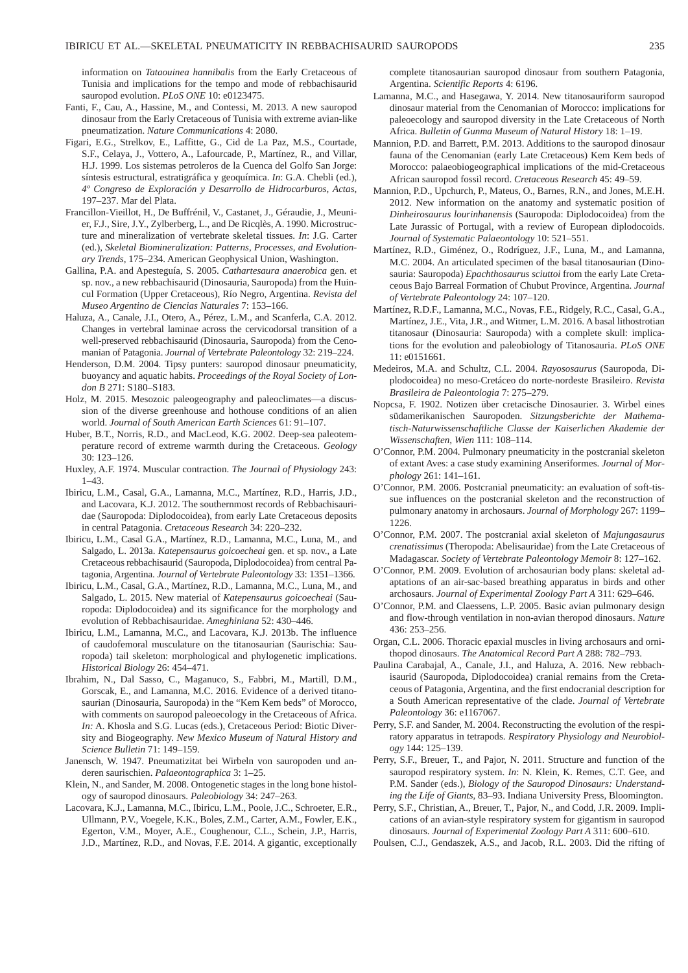information on *Tataouinea hannibalis* from the Early Cretaceous of Tunisia and implications for the tempo and mode of rebbachisaurid sauropod evolution. *PLoS ONE* 10: e0123475.

- Fanti, F., Cau, A., Hassine, M., and Contessi, M. 2013. A new sauropod dinosaur from the Early Cretaceous of Tunisia with extreme avian-like pneumatization. *Nature Communications* 4: 2080.
- Figari, E.G., Strelkov, E., Laffitte, G., Cid de La Paz, M.S., Courtade, S.F., Celaya, J., Vottero, A., Lafourcade, P., Martínez, R., and Villar, H.J. 1999. Los sistemas petroleros de la Cuenca del Golfo San Jorge: síntesis estructural, estratigráfica y geoquímica. *In*: G.A. Chebli (ed.), *4º Congreso de Exploració n y Desarrollo de Hidrocarburos, Actas*, 197–237. Mar del Plata.
- Francillon-Vieillot, H., De Buffrénil, V., Castanet, J., Géraudie, J., Meunier, F.J., Sire, J.Y., Zylberberg, L., and De Ricqlès, A. 1990. Microstructure and mineralization of vertebrate skeletal tissues. *In*: J.G. Carter (ed.), *Skeletal Biomineralization: Patterns, Processes, and Evolutionary Trends*, 175–234. American Geophysical Union, Washington.
- Gallina, P.A. and Apesteguía, S. 2005. Cathartesaura anaerobica gen. et sp. nov., a new rebbachisaurid (Dinosauria, Sauropoda) from the Huincul Formation (Upper Cretaceous), Río Negro, Argentina. *Revista del Museo Argentino de Ciencias Naturales* 7: 153–166.
- Haluza, A., Canale, J.I., Otero, A., Pérez, L.M., and Scanferla, C.A. 2012. Changes in vertebral laminae across the cervicodorsal transition of a well-preserved rebbachisaurid (Dinosauria, Sauropoda) from the Cenomanian of Patagonia. *Journal of Vertebrate Paleontology* 32: 219–224.
- Henderson, D.M. 2004. Tipsy punters: sauropod dinosaur pneumaticity, buoyancy and aquatic habits. *Proceedings of the Royal Society of London B* 271: S180–S183.
- Holz, M. 2015. Mesozoic paleogeography and paleoclimates—a discussion of the diverse greenhouse and hothouse conditions of an alien world. *Journal of South American Earth Sciences* 61: 91–107.
- Huber, B.T., Norris, R.D., and MacLeod, K.G. 2002. Deep-sea paleotemperature record of extreme warmth during the Cretaceous. *Geology* 30: 123–126.
- Huxley, A.F. 1974. Muscular contraction. *The Journal of Physiology* 243: 1–43.
- Ibiricu, L.M., Casal, G.A., Lamanna, M.C., Martínez, R.D., Harris, J.D., and Lacovara, K.J. 2012. The southernmost records of Rebbachisauridae (Sauropoda: Diplodocoidea), from early Late Cretaceous deposits in central Patagonia. *Cretaceous Research* 34: 220–232.
- Ibiricu, L.M., Casal G.A., Martínez, R.D., Lamanna, M.C., Luna, M., and Salgado, L. 2013a. *Katepensaurus goicoecheai* gen. et sp. nov., a Late Cretaceous rebbachisaurid (Sauropoda, Diplodocoidea) from central Patagonia, Argentina. *Journal of Vertebrate Paleontology* 33: 1351–1366.
- Ibiricu, L.M., Casal, G.A., Martínez, R.D., Lamanna, M.C., Luna, M., and Salgado, L. 2015. New material of *Katepensaurus goicoecheai* (Sauropoda: Diplodocoidea) and its significance for the morphology and evolution of Rebbachisauridae. *Ameghiniana* 52: 430–446.
- Ibiricu, L.M., Lamanna, M.C., and Lacovara, K.J. 2013b. The influence of caudofemoral musculature on the titanosaurian (Saurischia: Sauropoda) tail skeleton: morphological and phylogenetic implications. *Historical Biology* 26: 454–471.
- Ibrahim, N., Dal Sasso, C., Maganuco, S., Fabbri, M., Martill, D.M., Gorscak, E., and Lamanna, M.C. 2016. Evidence of a derived titanosaurian (Dinosauria, Sauropoda) in the "Kem Kem beds" of Morocco, with comments on sauropod paleoecology in the Cretaceous of Africa. *In:* A. Khosla and S.G. Lucas (eds.), Cretaceous Period: Biotic Diversity and Biogeography. *New Mexico Museum of Natural History and Science Bulletin* 71: 149–159.
- Janensch, W. 1947. Pneumatizitat bei Wirbeln von sauropoden und anderen saurischien. *Palaeontographica* 3: 1–25.
- Klein, N., and Sander, M. 2008. Ontogenetic stages in the long bone histology of sauropod dinosaurs. *Paleobiology* 34: 247–263.
- Lacovara, K.J., Lamanna, M.C., Ibiricu, L.M., Poole, J.C., Schroeter, E.R., Ullmann, P.V., Voegele, K.K., Boles, Z.M., Carter, A.M., Fowler, E.K., Egerton, V.M., Moyer, A.E., Coughenour, C.L., Schein, J.P., Harris, J.D., Martínez, R.D., and Novas, F.E. 2014. A gigantic, exceptionally

complete titanosaurian sauropod dinosaur from southern Patagonia, Argentina. *Scientific Reports* 4: 6196.

- Lamanna, M.C., and Hasegawa, Y. 2014. New titanosauriform sauropod dinosaur material from the Cenomanian of Morocco: implications for paleoecology and sauropod diversity in the Late Cretaceous of North Africa. *Bulletin of Gunma Museum of Natural History* 18: 1–19.
- Mannion, P.D. and Barrett, P.M. 2013. Additions to the sauropod dinosaur fauna of the Cenomanian (early Late Cretaceous) Kem Kem beds of Morocco: palaeobiogeographical implications of the mid-Cretaceous African sauropod fossil record. *Cretaceous Research* 45: 49–59.
- Mannion, P.D., Upchurch, P., Mateus, O., Barnes, R.N., and Jones, M.E.H. 2012. New information on the anatomy and systematic position of *Dinheirosaurus lourinhanensis* (Sauropoda: Diplodocoidea) from the Late Jurassic of Portugal, with a review of European diplodocoids. *Journal of Systematic Palaeontology* 10: 521–551.
- Martínez, R.D., Giménez, O., Rodríguez, J.F., Luna, M., and Lamanna, M.C. 2004. An articulated specimen of the basal titanosaurian (Dinosauria: Sauropoda) *Epachthosaurus sciuttoi* from the early Late Cretaceous Bajo Barreal Formation of Chubut Province, Argentina. *Journal of Vertebrate Paleontology* 24: 107–120.
- Martínez, R.D.F., Lamanna, M.C., Novas, F.E., Ridgely, R.C., Casal, G.A., Martínez, J.E., Vita, J.R., and Witmer, L.M. 2016. A basal lithostrotian titanosaur (Dinosauria: Sauropoda) with a complete skull: implications for the evolution and paleobiology of Titanosauria. *PLoS ONE* 11: e0151661.
- Medeiros, M.A. and Schultz, C.L. 2004. *Rayososaurus* (Sauropoda, Diplodocoidea) no meso-Cretáceo do norte-nordeste Brasileiro. *Revista Brasileira de Paleontologia* 7: 275–279.
- Nopcsa, F. 1902. Notizen über cretacische Dinosaurier. 3. Wirbel eines südamerikanischen Sauropoden. *Sitzungsberichte der Mathematisch-Naturwissenschaftliche Classe der Kaiserlichen Akademie der Wissenschaften, Wien* 111: 108–114.
- O'Connor, P.M. 2004. Pulmonary pneumaticity in the postcranial skeleton of extant Aves: a case study examining Anseriformes. *Journal of Morphology* 261: 141–161.
- O'Connor, P.M. 2006. Postcranial pneumaticity: an evaluation of soft-tissue influences on the postcranial skeleton and the reconstruction of pulmonary anatomy in archosaurs. *Journal of Morphology* 267: 1199– 1226.
- O'Connor, P.M. 2007. The postcranial axial skeleton of *Majungasaurus crenatissimus* (Theropoda: Abelisauridae) from the Late Cretaceous of Madagascar. *Society of Vertebrate Paleontology Memoir* 8: 127–162.
- O'Connor, P.M. 2009. Evolution of archosaurian body plans: skeletal adaptations of an air-sac-based breathing apparatus in birds and other archosaurs. *Journal of Experimental Zoology Part A* 311: 629–646.
- O'Connor, P.M. and Claessens, L.P. 2005. Basic avian pulmonary design and flow-through ventilation in non-avian theropod dinosaurs. *Nature* 436: 253–256.
- Organ, C.L. 2006. Thoracic epaxial muscles in living archosaurs and ornithopod dinosaurs. *The Anatomical Record Part A* 288: 782–793.
- Paulina Carabajal, A., Canale, J.I., and Haluza, A. 2016. New rebbachisaurid (Sauropoda, Diplodocoidea) cranial remains from the Cretaceous of Patagonia, Argentina, and the first endocranial description for a South American representative of the clade. *Journal of Vertebrate Paleontology* 36: e1167067.
- Perry, S.F. and Sander, M. 2004. Reconstructing the evolution of the respiratory apparatus in tetrapods. *Respiratory Physiology and Neurobiology* 144: 125–139.
- Perry, S.F., Breuer, T., and Pajor, N. 2011. Structure and function of the sauropod respiratory system. *In*: N. Klein, K. Remes, C.T. Gee, and P.M. Sander (eds.), *Biology of the Sauropod Dinosaurs: Understanding the Life of Giants*, 83–93. Indiana University Press, Bloomington.
- Perry, S.F., Christian, A., Breuer, T., Pajor, N., and Codd, J.R. 2009. Implications of an avian-style respiratory system for gigantism in sauropod dinosaurs. *Journal of Experimental Zoology Part A* 311: 600–610.
- Poulsen, C.J., Gendaszek, A.S., and Jacob, R.L. 2003. Did the rifting of